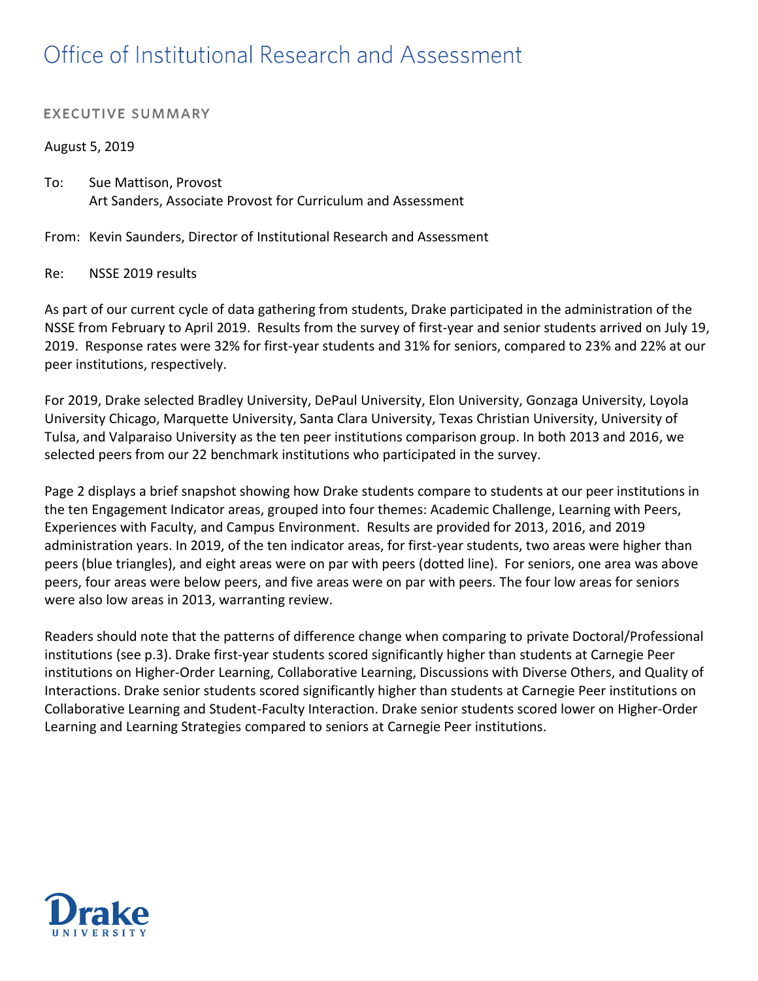# Office of Institutional Research and Assessment

## **EXECUTIVE SUMMARY**

### August 5, 2019

To: Sue Mattison, Provost Art Sanders, Associate Provost for Curriculum and Assessment

From: Kevin Saunders, Director of Institutional Research and Assessment

#### Re: NSSE 2019 results

As part of our current cycle of data gathering from students, Drake participated in the administration of the NSSE from February to April 2019. Results from the survey of first-year and senior students arrived on July 19, 2019. Response rates were 32% for first-year students and 31% for seniors, compared to 23% and 22% at our peer institutions, respectively.

For 2019, Drake selected Bradley University, DePaul University, Elon University, Gonzaga University, Loyola University Chicago, Marquette University, Santa Clara University, Texas Christian University, University of Tulsa, and Valparaiso University as the ten peer institutions comparison group. In both 2013 and 2016, we selected peers from our 22 benchmark institutions who participated in the survey.

Page 2 displays a brief snapshot showing how Drake students compare to students at our peer institutions in the ten Engagement Indicator areas, grouped into four themes: Academic Challenge, Learning with Peers, Experiences with Faculty, and Campus Environment. Results are provided for 2013, 2016, and 2019 administration years. In 2019, of the ten indicator areas, for first-year students, two areas were higher than peers (blue triangles), and eight areas were on par with peers (dotted line). For seniors, one area was above peers, four areas were below peers, and five areas were on par with peers. The four low areas for seniors were also low areas in 2013, warranting review.

Readers should note that the patterns of difference change when comparing to private Doctoral/Professional institutions (see p.3). Drake first-year students scored significantly higher than students at Carnegie Peer institutions on Higher-Order Learning, Collaborative Learning, Discussions with Diverse Others, and Quality of Interactions. Drake senior students scored significantly higher than students at Carnegie Peer institutions on Collaborative Learning and Student-Faculty Interaction. Drake senior students scored lower on Higher-Order Learning and Learning Strategies compared to seniors at Carnegie Peer institutions.

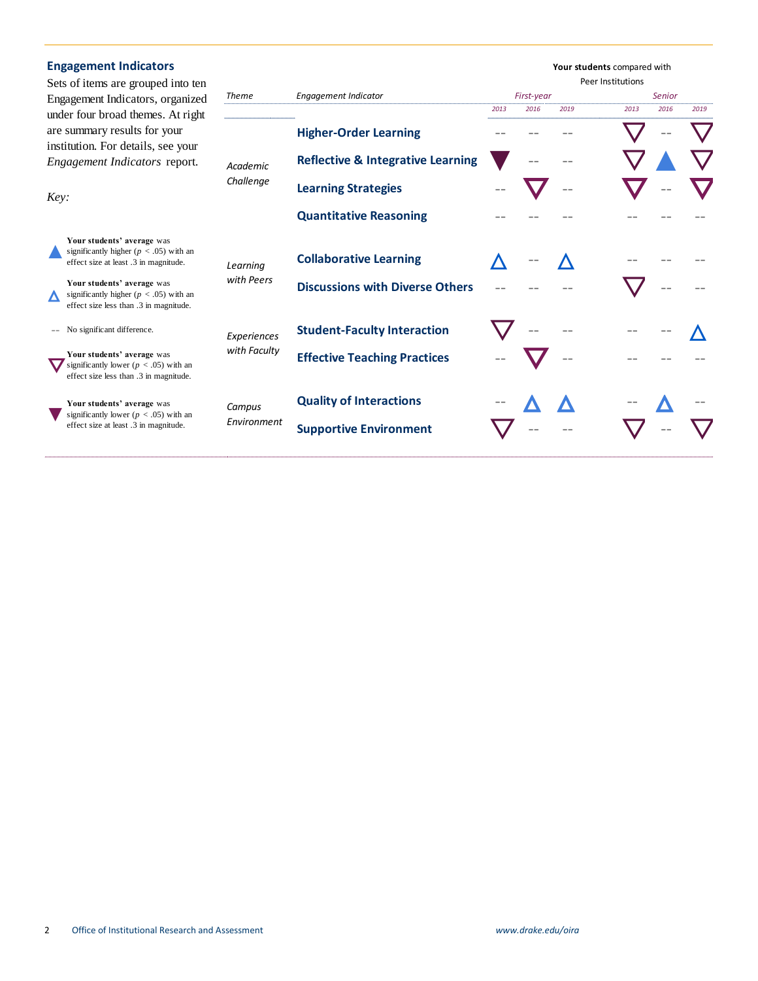| <b>Engagement Indicators</b>                                                                            |                                                                                                                    |              |                                              |      |            | Your students compared with<br>Peer Institutions |      |        |      |  |  |
|---------------------------------------------------------------------------------------------------------|--------------------------------------------------------------------------------------------------------------------|--------------|----------------------------------------------|------|------------|--------------------------------------------------|------|--------|------|--|--|
| Sets of items are grouped into ten<br>Engagement Indicators, organized                                  |                                                                                                                    | Theme        | <b>Engagement Indicator</b>                  |      | First-year |                                                  |      | Senior |      |  |  |
|                                                                                                         |                                                                                                                    |              |                                              | 2013 | 2016       | 2019                                             | 2013 | 2016   | 2019 |  |  |
| under four broad themes. At right<br>are summary results for your<br>institution. For details, see your |                                                                                                                    |              | <b>Higher-Order Learning</b>                 |      |            |                                                  |      |        |      |  |  |
| Engagement Indicators report.                                                                           |                                                                                                                    | Academic     | <b>Reflective &amp; Integrative Learning</b> |      |            |                                                  |      |        |      |  |  |
| Key:                                                                                                    |                                                                                                                    | Challenge    | <b>Learning Strategies</b>                   |      |            | --                                               |      |        |      |  |  |
|                                                                                                         |                                                                                                                    |              | <b>Quantitative Reasoning</b>                |      |            |                                                  |      |        |      |  |  |
|                                                                                                         | Your students' average was<br>significantly higher ( $p < .05$ ) with an<br>effect size at least .3 in magnitude.  | Learning     | <b>Collaborative Learning</b>                |      |            |                                                  |      |        |      |  |  |
|                                                                                                         | Your students' average was<br>significantly higher ( $p < .05$ ) with an<br>effect size less than .3 in magnitude. | with Peers   | <b>Discussions with Diverse Others</b>       |      |            |                                                  |      |        |      |  |  |
|                                                                                                         | No significant difference.                                                                                         | Experiences  | <b>Student-Faculty Interaction</b>           |      |            |                                                  |      |        |      |  |  |
|                                                                                                         | Your students' average was<br>significantly lower ( $p < .05$ ) with an<br>effect size less than .3 in magnitude.  | with Faculty | <b>Effective Teaching Practices</b>          |      |            |                                                  |      |        |      |  |  |
|                                                                                                         | Your students' average was                                                                                         | Campus       | <b>Quality of Interactions</b>               |      |            |                                                  |      |        |      |  |  |
|                                                                                                         | significantly lower ( $p < .05$ ) with an<br>effect size at least .3 in magnitude.                                 | Environment  | <b>Supportive Environment</b>                |      |            |                                                  |      |        |      |  |  |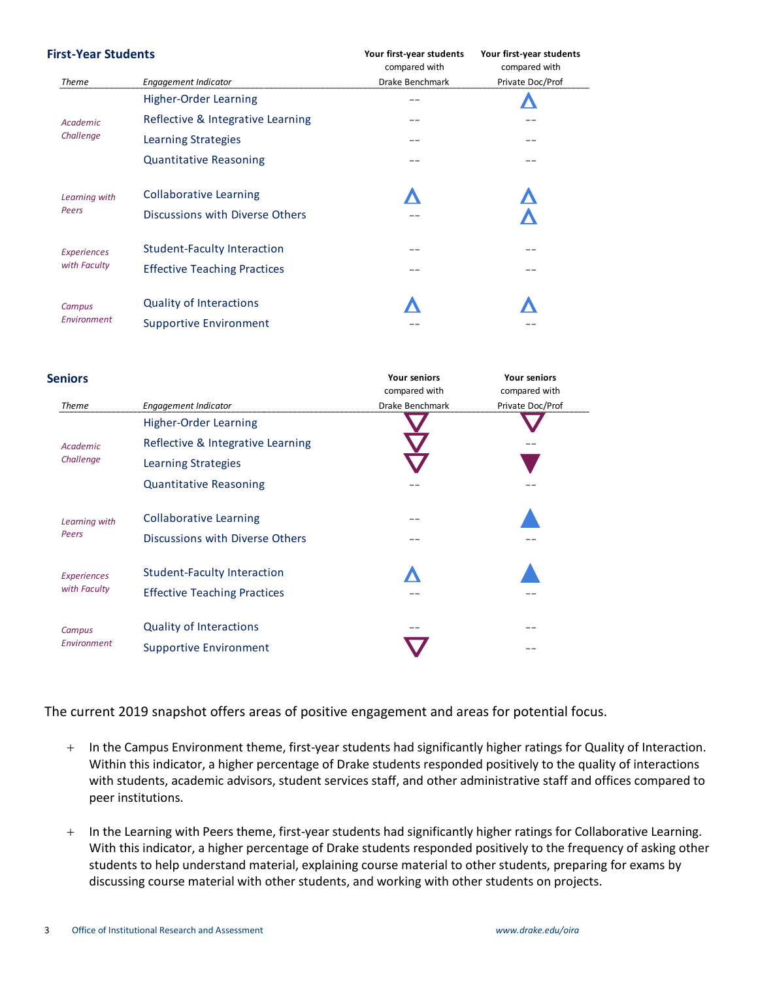| First-Year Students |                                     | Your first-year students<br>compared with | Your first-year students<br>compared with<br>Private Doc/Prof |  |
|---------------------|-------------------------------------|-------------------------------------------|---------------------------------------------------------------|--|
| Theme               | <b>Engagement Indicator</b>         | Drake Benchmark                           |                                                               |  |
|                     | <b>Higher-Order Learning</b>        | $= -$                                     |                                                               |  |
| Academic            | Reflective & Integrative Learning   | $= -$                                     |                                                               |  |
| Challenge           | Learning Strategies                 | --                                        | $= -$                                                         |  |
|                     | <b>Quantitative Reasoning</b>       | $= -$                                     | $= -$                                                         |  |
| Learning with       | <b>Collaborative Learning</b>       |                                           |                                                               |  |
| Peers               | Discussions with Diverse Others     | --                                        |                                                               |  |
| <b>Experiences</b>  | Student-Faculty Interaction         | $= -$                                     | $= -$                                                         |  |
| with Faculty        | <b>Effective Teaching Practices</b> | --                                        | $= -$                                                         |  |
| Campus              | <b>Quality of Interactions</b>      |                                           |                                                               |  |
| Environment         | <b>Supportive Environment</b>       |                                           |                                                               |  |

| <b>Seniors</b>                     |                                                                           | <b>Your seniors</b><br>compared with | <b>Your seniors</b><br>compared with |
|------------------------------------|---------------------------------------------------------------------------|--------------------------------------|--------------------------------------|
| <b>Theme</b>                       | Engagement Indicator                                                      | Drake Benchmark                      | Private Doc/Prof                     |
|                                    | <b>Higher-Order Learning</b>                                              |                                      |                                      |
| Academic                           | Reflective & Integrative Learning                                         |                                      |                                      |
| Challenge                          | Learning Strategies                                                       |                                      |                                      |
|                                    | <b>Quantitative Reasoning</b>                                             | --                                   |                                      |
| Learning with                      | <b>Collaborative Learning</b>                                             | $= -$                                |                                      |
| Peers                              | Discussions with Diverse Others                                           | $= -$                                |                                      |
| <b>Experiences</b><br>with Faculty | <b>Student-Faculty Interaction</b><br><b>Effective Teaching Practices</b> | --                                   |                                      |
| Campus<br>Environment              | <b>Quality of Interactions</b><br><b>Supportive Environment</b>           | --                                   | - -<br>--                            |

The current 2019 snapshot offers areas of positive engagement and areas for potential focus.

- $+$  In the Campus Environment theme, first-year students had significantly higher ratings for Quality of Interaction. Within this indicator, a higher percentage of Drake students responded positively to the quality of interactions with students, academic advisors, student services staff, and other administrative staff and offices compared to peer institutions.
- + In the Learning with Peers theme, first-year students had significantly higher ratings for Collaborative Learning. With this indicator, a higher percentage of Drake students responded positively to the frequency of asking other students to help understand material, explaining course material to other students, preparing for exams by discussing course material with other students, and working with other students on projects.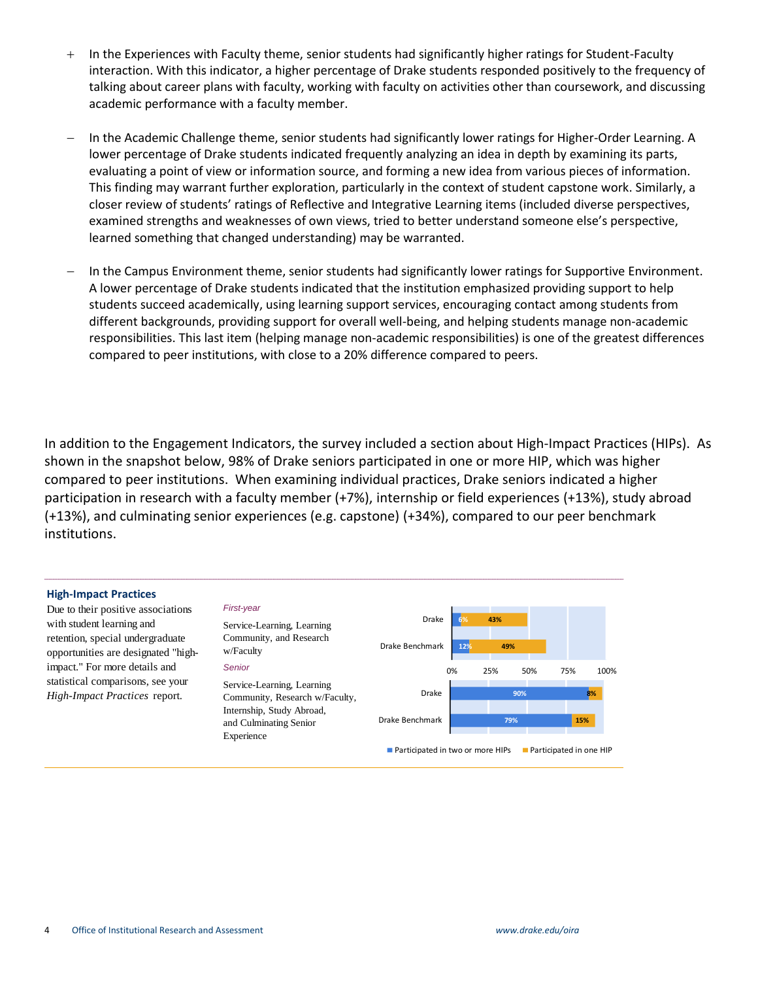- + In the Experiences with Faculty theme, senior students had significantly higher ratings for Student-Faculty interaction. With this indicator, a higher percentage of Drake students responded positively to the frequency of talking about career plans with faculty, working with faculty on activities other than coursework, and discussing academic performance with a faculty member.
- In the Academic Challenge theme, senior students had significantly lower ratings for Higher-Order Learning. A lower percentage of Drake students indicated frequently analyzing an idea in depth by examining its parts, evaluating a point of view or information source, and forming a new idea from various pieces of information. This finding may warrant further exploration, particularly in the context of student capstone work. Similarly, a closer review of students' ratings of Reflective and Integrative Learning items (included diverse perspectives, examined strengths and weaknesses of own views, tried to better understand someone else's perspective, learned something that changed understanding) may be warranted.
- In the Campus Environment theme, senior students had significantly lower ratings for Supportive Environment. A lower percentage of Drake students indicated that the institution emphasized providing support to help students succeed academically, using learning support services, encouraging contact among students from different backgrounds, providing support for overall well-being, and helping students manage non-academic responsibilities. This last item (helping manage non-academic responsibilities) is one of the greatest differences compared to peer institutions, with close to a 20% difference compared to peers.

In addition to the Engagement Indicators, the survey included a section about High-Impact Practices (HIPs). As shown in the snapshot below, 98% of Drake seniors participated in one or more HIP, which was higher compared to peer institutions. When examining individual practices, Drake seniors indicated a higher participation in research with a faculty member (+7%), internship or field experiences (+13%), study abroad (+13%), and culminating senior experiences (e.g. capstone) (+34%), compared to our peer benchmark institutions.

#### **High-Impact Practices**

Due to their positive associations with student learning and retention, special undergraduate opportunities are designated "highimpact." For more details and statistical comparisons, see your  $High-Import$  *Practices* report.

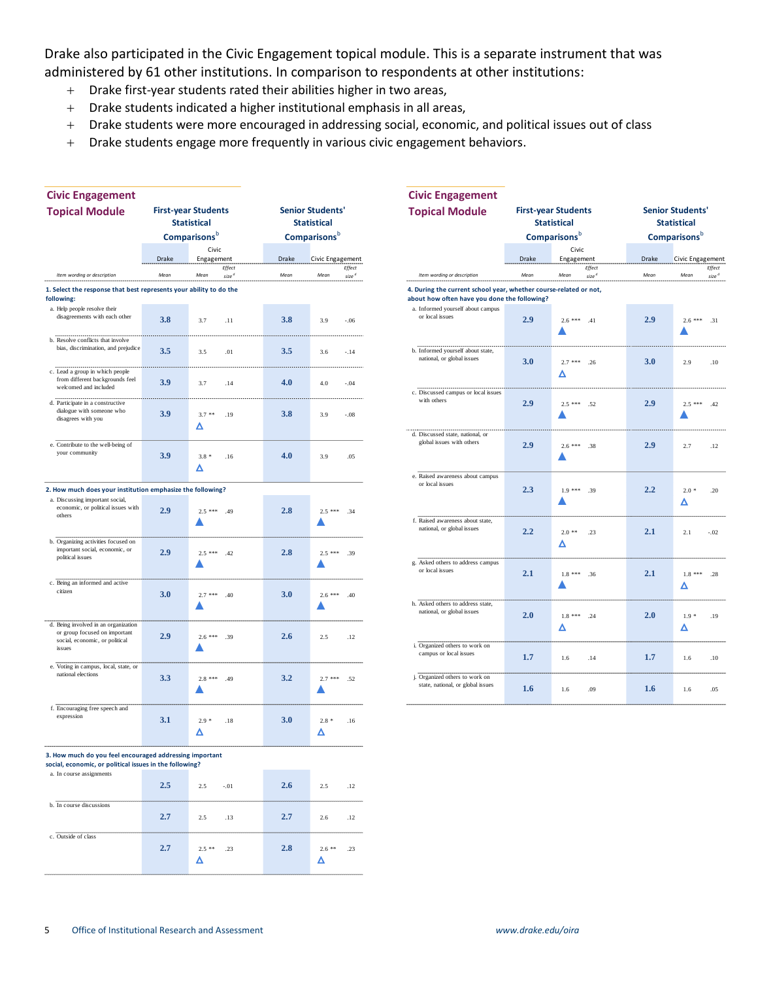Drake also participated in the Civic Engagement topical module. This is a separate instrument that was administered by 61 other institutions. In comparison to respondents at other institutions:

- Drake first-year students rated their abilities higher in two areas,
- Drake students indicated a higher institutional emphasis in all areas,
- Drake students were more encouraged in addressing social, economic, and political issues out of class
- Drake students engage more frequently in various civic engagement behaviors.

| <b>Civic Engagement</b>                                                                       |       |                                     |                    |                            | <b>Civic Engagement</b>                                             |                    |                            |                     |          |
|-----------------------------------------------------------------------------------------------|-------|-------------------------------------|--------------------|----------------------------|---------------------------------------------------------------------|--------------------|----------------------------|---------------------|----------|
| <b>Topical Module</b>                                                                         |       | <b>First-year Students</b>          |                    | <b>Senior Students'</b>    | <b>Topical Module</b>                                               |                    | <b>First-year Students</b> | <b>Senior Stude</b> |          |
| <b>Statistical</b>                                                                            |       |                                     | <b>Statistical</b> |                            |                                                                     | <b>Statistical</b> |                            | <b>Statistica</b>   |          |
|                                                                                               |       | <b>Comparisons</b> b                |                    | <b>Comparisons</b> b       |                                                                     |                    | <b>Comparisons</b> b       | <b>Compariso</b>    |          |
|                                                                                               | Drake | Civic<br>Engagement                 | Drake              | Civic Engagement           |                                                                     | Drake              | Civic<br>Engagement        | Drake               | Civic E  |
| Item wording or description                                                                   | Mean  | Effect<br>Mean<br>size <sup>d</sup> | Mean               | Effect<br>Mean<br>$size^d$ | Item wording or description                                         | Mean               | Effect<br>$size^d$<br>Mean | Mean                | Mear     |
| 1. Select the response that best represents your ability to do the                            |       |                                     |                    |                            | 4. During the current school year, whether course-related or not,   |                    |                            |                     |          |
| following:                                                                                    |       |                                     |                    |                            | about how often have you done the following?                        |                    |                            |                     |          |
| a. Help people resolve their<br>disagreements with each other                                 | 3.8   | 3.7<br>.11                          | 3.8                | 3.9<br>$-.06$              | a. Informed yourself about campus<br>or local issues                | 2.9                | $2.6$ *** $.41$            | 2.9                 | 2.6<br>▲ |
| b. Resolve conflicts that involve<br>bias, discrimination, and prejudice                      | 3.5   | 3.5<br>.01                          | 3.5                | 3.6<br>$-.14$              | b. Informed yourself about state,<br>national, or global issues     | 3.0                | $2.7***$<br>.26            | 3.0                 | 2.9      |
| c. Lead a group in which people<br>from different backgrounds feel<br>welcomed and included   | 3.9   | 3.7<br>.14                          | 4.0                | 4.0<br>$-.04$              | c. Discussed campus or local issues                                 |                    | Δ                          |                     |          |
| d. Participate in a constructive<br>dialogue with someone who<br>disagrees with you           | 3.9   | .19<br>$3.7**$                      | 3.8                | 3.9<br>$-.08$              | with others                                                         | 2.9                | $2.5***$<br>.52            | 2.9                 | 2.5<br>▲ |
| e. Contribute to the well-being of<br>your community                                          | 3.9   | Δ<br>$3.8*$<br>.16                  | 4.0                | 3.9<br>.05                 | d. Discussed state, national, or<br>global issues with others       | 2.9                | $2.6***$ .38               | 2.9                 | 2.7      |
|                                                                                               |       | Δ                                   |                    |                            | e. Raised awareness about campus<br>or local issues                 |                    |                            |                     |          |
| 2. How much does your institution emphasize the following?<br>a. Discussing important social, |       |                                     |                    |                            |                                                                     | 2.3                | $1.9***$<br>.39            | 2.2                 | 2.0<br>Δ |
| economic, or political issues with<br>others                                                  | 2.9   | $2.5***$<br>.49                     | 2.8                | $2.5***$<br>.34<br>▲       | f. Raised awareness about state,<br>national, or global issues      | 2.2                | $2.0**$<br>.23             | 2.1                 | 2.1      |
| b. Organizing activities focused on<br>important social, economic, or<br>political issues     | 2.9   | $2.5***$<br>.42                     | 2.8                | $2.5***$<br>.39            | g. Asked others to address campus                                   |                    | Δ                          |                     |          |
|                                                                                               |       |                                     |                    |                            | or local issues                                                     | 2.1                | $1.8***$<br>.36            | 2.1                 | 1.8      |
| c. Being an informed and active<br>citizen                                                    | 3.0   | $2.7***$<br>.40                     | 3.0                | $2.6$ ***<br>.40           | h. Asked others to address state,                                   |                    |                            |                     | Δ        |
| d. Being involved in an organization                                                          |       |                                     |                    |                            | national, or global issues                                          | 2.0                | $1.8***$<br>.24            | 2.0                 | 1.9      |
| or group focused on important<br>social, economic, or political<br>issues                     | 2.9   | $2.6***$<br>.39                     | 2.6                | 2.5<br>.12                 | i. Organized others to work on<br>campus or local issues            |                    | Δ                          |                     | Δ        |
| e. Voting in campus, local, state, or                                                         |       |                                     |                    |                            |                                                                     | 1.7                | .14<br>1.6                 | 1.7                 | 1.6      |
| national elections                                                                            | 3.3   | $2.8***$<br>.49                     | 3.2                | .52<br>$2.7***$            | j. Organized others to work on<br>state, national, or global issues | 1.6                | .09<br>1.6                 | 1.6                 | 1.6      |
| f. Encouraging free speech and<br>expression                                                  | 3.1   | $2.9*$<br>.18<br>Δ                  | <b>3.0</b>         | $2.8*$<br>.16<br>Δ         |                                                                     |                    |                            |                     |          |
| 3. How much do you feel encouraged addressing important                                       |       |                                     |                    |                            |                                                                     |                    |                            |                     |          |
| social, economic, or political issues in the following?<br>a. In course assignments           |       |                                     |                    |                            |                                                                     |                    |                            |                     |          |
|                                                                                               | 2.5   | $2.5\,$<br>$-.01$                   | 2.6                | 2.5<br>.12                 |                                                                     |                    |                            |                     |          |
| b. In course discussions                                                                      | 2.7   | $2.5\,$<br>.13                      | 2.7                | .12<br>2.6                 |                                                                     |                    |                            |                     |          |
| c. Outside of class                                                                           | 2.7   | $2.5**$<br>.23<br>Δ                 | 2.8                | $2.6**$<br>.23<br>Δ        |                                                                     |                    |                            |                     |          |
|                                                                                               |       |                                     |                    |                            |                                                                     |                    |                            |                     |          |

| Civic Engagement                                                                   |                                                  |                                     |                                               |                            | <b>Civic Engagement</b>                                                                                           |                                                  |                                     |                                               |                                     |
|------------------------------------------------------------------------------------|--------------------------------------------------|-------------------------------------|-----------------------------------------------|----------------------------|-------------------------------------------------------------------------------------------------------------------|--------------------------------------------------|-------------------------------------|-----------------------------------------------|-------------------------------------|
| <b>Fopical Module</b>                                                              | <b>First-year Students</b><br><b>Statistical</b> |                                     | <b>Senior Students'</b><br><b>Statistical</b> |                            | <b>Topical Module</b>                                                                                             | <b>First-year Students</b><br><b>Statistical</b> |                                     | <b>Senior Students'</b><br><b>Statistical</b> |                                     |
|                                                                                    |                                                  | Comparisons <sup>b</sup>            |                                               | Comparisons <sup>b</sup>   |                                                                                                                   |                                                  | <b>Comparisons</b> b                |                                               | <b>Comparisons</b> b                |
|                                                                                    |                                                  | Civic                               |                                               |                            |                                                                                                                   |                                                  | Civic                               |                                               |                                     |
|                                                                                    | Drake                                            | Engagement                          | Drake                                         | Civic Engagement           |                                                                                                                   | Drake                                            | Engagement                          | Drake                                         | Civic Engagement                    |
| Item wording or description                                                        | Mean                                             | Effect<br>size <sup>d</sup><br>Mean | Mean                                          | Effect<br>Mean<br>$size^d$ | Item wording or description                                                                                       | Mean                                             | Effect<br>Mean<br>size <sup>d</sup> | Mean                                          | Effect<br>Mean<br>size <sup>d</sup> |
|                                                                                    |                                                  |                                     |                                               |                            |                                                                                                                   |                                                  |                                     |                                               |                                     |
| Select the response that best represents your ability to do the<br><b>Ilowing:</b> |                                                  |                                     |                                               |                            | 4. During the current school year, whether course-related or not,<br>about how often have you done the following? |                                                  |                                     |                                               |                                     |
| a. Help people resolve their                                                       |                                                  |                                     |                                               |                            | a. Informed yourself about campus                                                                                 |                                                  |                                     |                                               |                                     |
| disagreements with each other                                                      | 3.8                                              | 3.7<br>.11                          | 3.8                                           | 3.9<br>$-.06$              | or local issues                                                                                                   | 2.9                                              | $2.6***$ .41                        | 2.9                                           | $2.6***$ .31                        |
|                                                                                    |                                                  |                                     |                                               |                            |                                                                                                                   |                                                  |                                     |                                               |                                     |
| b. Resolve conflicts that involve                                                  |                                                  |                                     |                                               |                            |                                                                                                                   |                                                  |                                     |                                               |                                     |
| bias, discrimination, and prejudice                                                | 3.5                                              | 3.5<br>.01                          | 3.5                                           | 3.6<br>$-.14$              | b. Informed yourself about state,<br>national, or global issues                                                   |                                                  |                                     |                                               |                                     |
|                                                                                    |                                                  |                                     |                                               |                            |                                                                                                                   | 3.0                                              | $2.7$ *** .26                       | 3.0                                           | 2.9<br>.10                          |
| c. Lead a group in which people<br>from different backgrounds feel                 |                                                  |                                     |                                               |                            |                                                                                                                   |                                                  | Δ                                   |                                               |                                     |
| welcomed and included                                                              | 3.9                                              | 3.7<br>.14                          | 4.0                                           | $-.04$<br>4.0              | c. Discussed campus or local issues                                                                               |                                                  |                                     |                                               |                                     |
| d. Participate in a constructive                                                   |                                                  |                                     |                                               |                            | with others                                                                                                       | 2.9                                              |                                     | 2.9                                           |                                     |
| dialogue with someone who                                                          | 3.9                                              | $3.7**$<br>.19                      | 3.8                                           | 3.9<br>$-.08$              |                                                                                                                   |                                                  | $2.5$ *** .52                       |                                               | $2.5$ *** $.42$                     |
| disagrees with you                                                                 |                                                  | Δ                                   |                                               |                            |                                                                                                                   |                                                  |                                     |                                               |                                     |
|                                                                                    |                                                  |                                     |                                               |                            | d. Discussed state, national, or                                                                                  |                                                  |                                     |                                               |                                     |
| e. Contribute to the well-being of                                                 |                                                  |                                     |                                               |                            | global issues with others                                                                                         | 2.9                                              | $2.6***$ .38                        | 2.9                                           | 2.7<br>.12                          |
| your community                                                                     | 3.9                                              | $3.8*$<br>.16                       | 4.0                                           | 3.9<br>.05                 |                                                                                                                   |                                                  |                                     |                                               |                                     |
|                                                                                    |                                                  | Δ                                   |                                               |                            |                                                                                                                   |                                                  |                                     |                                               |                                     |
|                                                                                    |                                                  |                                     |                                               |                            | e. Raised awareness about campus<br>or local issues                                                               |                                                  |                                     |                                               |                                     |
| How much does your institution emphasize the following?                            |                                                  |                                     |                                               |                            |                                                                                                                   | 2.3                                              | $1.9$ *** .39                       | 2.2                                           | $2.0*$<br>.20                       |
| a. Discussing important social,<br>economic, or political issues with              |                                                  |                                     |                                               |                            |                                                                                                                   |                                                  |                                     |                                               | Δ                                   |
| others                                                                             | 2.9                                              | $2.5***$ .49                        | 2.8                                           | $2.5***$<br>.34            |                                                                                                                   |                                                  |                                     |                                               |                                     |
|                                                                                    |                                                  |                                     |                                               |                            | f. Raised awareness about state,<br>national, or global issues                                                    |                                                  |                                     |                                               |                                     |
| Organizing activities focused on                                                   |                                                  |                                     |                                               |                            |                                                                                                                   | 2.2                                              | $2.0**$<br>.23                      | 2.1                                           | $-.02$<br>2.1                       |
| important social, economic, or                                                     | 2.9                                              | $2.5***$ .42                        | 2.8                                           | $2.5***$<br>.39            |                                                                                                                   |                                                  | Δ                                   |                                               |                                     |
| political issues                                                                   |                                                  |                                     |                                               |                            | g. Asked others to address campus                                                                                 |                                                  |                                     |                                               |                                     |
|                                                                                    |                                                  |                                     |                                               |                            | or local issues                                                                                                   | 2.1                                              | $1.8$ *** .36                       | 2.1                                           | $1.8***$ .28                        |
| Being an informed and active                                                       |                                                  |                                     |                                               |                            |                                                                                                                   |                                                  |                                     |                                               | Δ                                   |
| citizen                                                                            | 3.0                                              | $2.7***$<br>.40                     | 3.0                                           | $2.6***$<br>.40            |                                                                                                                   |                                                  |                                     |                                               |                                     |
|                                                                                    |                                                  |                                     |                                               |                            | h. Asked others to address state,<br>national, or global issues                                                   |                                                  |                                     |                                               |                                     |
|                                                                                    |                                                  |                                     |                                               |                            |                                                                                                                   | 2.0                                              | $1.8$ *** .24                       | 2.0                                           | $1.9*$<br>.19                       |
| d. Being involved in an organization<br>or group focused on important              |                                                  |                                     |                                               |                            |                                                                                                                   |                                                  | Δ                                   |                                               | Δ                                   |
| social, economic, or political                                                     | 2.9                                              | $2.6***$<br>.39                     | 2.6                                           | 2.5<br>.12                 | i. Organized others to work on                                                                                    |                                                  |                                     |                                               |                                     |
| issues                                                                             |                                                  |                                     |                                               |                            | campus or local issues                                                                                            | 1.7                                              |                                     | 1.7                                           | .10                                 |
| e. Voting in campus, local, state, or                                              |                                                  |                                     |                                               |                            |                                                                                                                   |                                                  | 1.6<br>.14                          |                                               | 1.6                                 |
| national elections                                                                 | 3.3                                              | $2.8***$<br>.49                     | 3.2                                           | $2.7***$<br>.52            | j. Organized others to work on                                                                                    |                                                  |                                     |                                               |                                     |
|                                                                                    |                                                  |                                     |                                               |                            | state, national, or global issues                                                                                 | 1.6                                              | 1.6<br>.09                          | 1.6                                           | 1.6<br>.05                          |
|                                                                                    |                                                  |                                     |                                               |                            |                                                                                                                   |                                                  |                                     |                                               |                                     |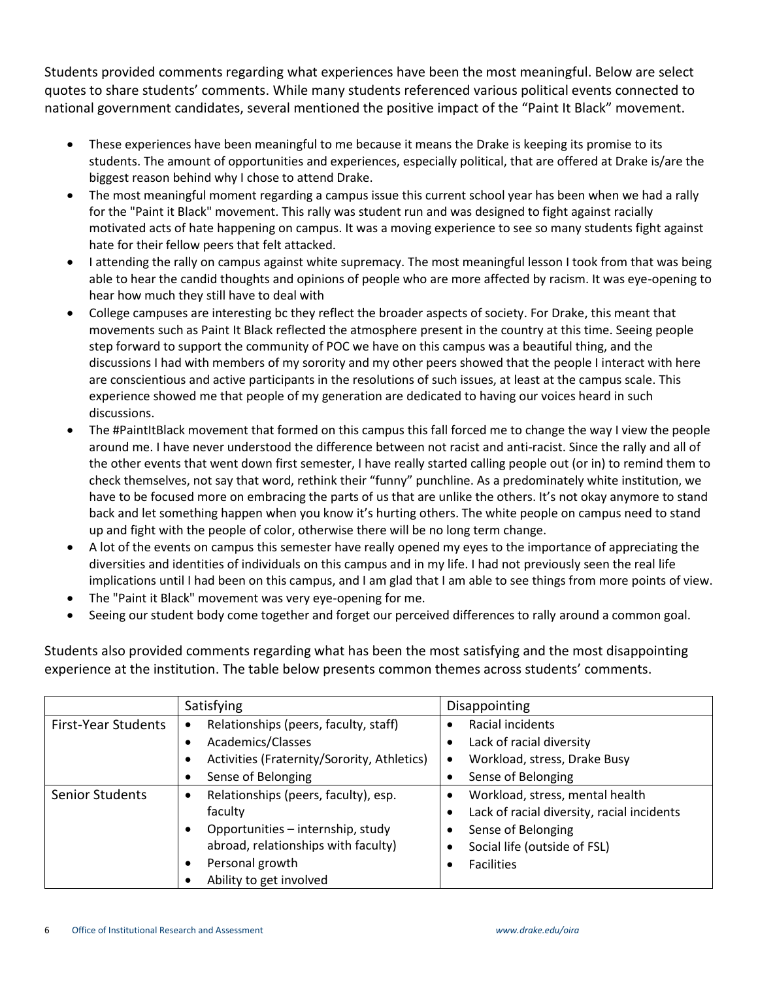Students provided comments regarding what experiences have been the most meaningful. Below are select quotes to share students' comments. While many students referenced various political events connected to national government candidates, several mentioned the positive impact of the "Paint It Black" movement.

- These experiences have been meaningful to me because it means the Drake is keeping its promise to its students. The amount of opportunities and experiences, especially political, that are offered at Drake is/are the biggest reason behind why I chose to attend Drake.
- The most meaningful moment regarding a campus issue this current school year has been when we had a rally for the "Paint it Black" movement. This rally was student run and was designed to fight against racially motivated acts of hate happening on campus. It was a moving experience to see so many students fight against hate for their fellow peers that felt attacked.
- I attending the rally on campus against white supremacy. The most meaningful lesson I took from that was being able to hear the candid thoughts and opinions of people who are more affected by racism. It was eye-opening to hear how much they still have to deal with
- College campuses are interesting bc they reflect the broader aspects of society. For Drake, this meant that movements such as Paint It Black reflected the atmosphere present in the country at this time. Seeing people step forward to support the community of POC we have on this campus was a beautiful thing, and the discussions I had with members of my sorority and my other peers showed that the people I interact with here are conscientious and active participants in the resolutions of such issues, at least at the campus scale. This experience showed me that people of my generation are dedicated to having our voices heard in such discussions.
- The #PaintItBlack movement that formed on this campus this fall forced me to change the way I view the people around me. I have never understood the difference between not racist and anti-racist. Since the rally and all of the other events that went down first semester, I have really started calling people out (or in) to remind them to check themselves, not say that word, rethink their "funny" punchline. As a predominately white institution, we have to be focused more on embracing the parts of us that are unlike the others. It's not okay anymore to stand back and let something happen when you know it's hurting others. The white people on campus need to stand up and fight with the people of color, otherwise there will be no long term change.
- A lot of the events on campus this semester have really opened my eyes to the importance of appreciating the diversities and identities of individuals on this campus and in my life. I had not previously seen the real life implications until I had been on this campus, and I am glad that I am able to see things from more points of view.
- The "Paint it Black" movement was very eye-opening for me.
- Seeing our student body come together and forget our perceived differences to rally around a common goal.

Students also provided comments regarding what has been the most satisfying and the most disappointing experience at the institution. The table below presents common themes across students' comments.

|                            | Satisfying                                         | Disappointing                                           |  |  |  |
|----------------------------|----------------------------------------------------|---------------------------------------------------------|--|--|--|
| <b>First-Year Students</b> | Relationships (peers, faculty, staff)<br>$\bullet$ | Racial incidents<br>$\bullet$                           |  |  |  |
|                            | Academics/Classes                                  | Lack of racial diversity                                |  |  |  |
|                            | Activities (Fraternity/Sorority, Athletics)        | Workload, stress, Drake Busy<br>$\bullet$               |  |  |  |
|                            | Sense of Belonging                                 | Sense of Belonging<br>$\bullet$                         |  |  |  |
| Senior Students            | Relationships (peers, faculty), esp.               | Workload, stress, mental health<br>$\bullet$            |  |  |  |
|                            | faculty                                            | Lack of racial diversity, racial incidents<br>$\bullet$ |  |  |  |
|                            | Opportunities - internship, study                  | Sense of Belonging                                      |  |  |  |
|                            | abroad, relationships with faculty)                | Social life (outside of FSL)                            |  |  |  |
|                            | Personal growth<br>٠                               | <b>Facilities</b>                                       |  |  |  |
|                            | Ability to get involved                            |                                                         |  |  |  |